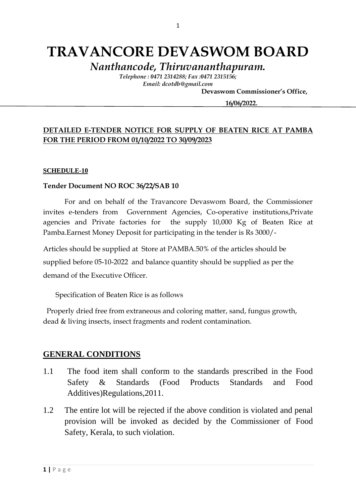# **TRAVANCORE DEVASWOM BOARD**

*Nanthancode, Thiruvananthapuram.*

*Telephone : 0471 2314288; Fax :0471 2315156; Email: dcotdb@gmail.com*

 **Devaswom Commissioner's Office,**

**16/06/2022.**

### **DETAILED E-TENDER NOTICE FOR SUPPLY OF BEATEN RICE AT PAMBA FOR THE PERIOD FROM 01/10/2022 TO 30/09/2023**

#### **SCHEDULE-10**

#### **Tender Document NO ROC 36/22/SAB 10**

For and on behalf of the Travancore Devaswom Board, the Commissioner invites e-tenders from Government Agencies, Co-operative institutions,Private agencies and Private factories for the supply 10,000 Kg of Beaten Rice at Pamba.Earnest Money Deposit for participating in the tender is Rs 3000/-

Articles should be supplied at Store at PAMBA.50% of the articles should be supplied before 05-10-2022 and balance quantity should be supplied as per the demand of the Executive Officer.

Specification of Beaten Rice is as follows

 Properly dried free from extraneous and coloring matter, sand, fungus growth, dead & living insects, insect fragments and rodent contamination.

### **GENERAL CONDITIONS**

- 1.1 The food item shall conform to the standards prescribed in the Food Safety & Standards (Food Products Standards and Food Additives)Regulations,2011.
- 1.2 The entire lot will be rejected if the above condition is violated and penal provision will be invoked as decided by the Commissioner of Food Safety, Kerala, to such violation.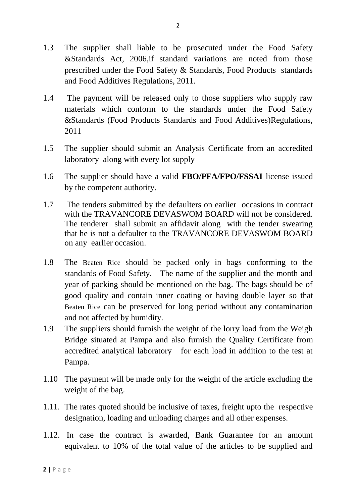- 1.3 The supplier shall liable to be prosecuted under the Food Safety &Standards Act, 2006,if standard variations are noted from those prescribed under the Food Safety & Standards, Food Products standards and Food Additives Regulations, 2011.
- 1.4 The payment will be released only to those suppliers who supply raw materials which conform to the standards under the Food Safety &Standards (Food Products Standards and Food Additives)Regulations, 2011
- 1.5 The supplier should submit an Analysis Certificate from an accredited laboratory along with every lot supply
- 1.6 The supplier should have a valid **FBO/PFA/FPO/FSSAI** license issued by the competent authority.
- 1.7 The tenders submitted by the defaulters on earlier occasions in contract with the TRAVANCORE DEVASWOM BOARD will not be considered. The tenderer shall submit an affidavit along with the tender swearing that he is not a defaulter to the TRAVANCORE DEVASWOM BOARD on any earlier occasion.
- 1.8 The Beaten Rice should be packed only in bags conforming to the standards of Food Safety. The name of the supplier and the month and year of packing should be mentioned on the bag. The bags should be of good quality and contain inner coating or having double layer so that Beaten Rice can be preserved for long period without any contamination and not affected by humidity.
- 1.9 The suppliers should furnish the weight of the lorry load from the Weigh Bridge situated at Pampa and also furnish the Quality Certificate from accredited analytical laboratory for each load in addition to the test at Pampa.
- 1.10 The payment will be made only for the weight of the article excluding the weight of the bag.
- 1.11. The rates quoted should be inclusive of taxes, freight upto the respective designation, loading and unloading charges and all other expenses.
- 1.12. In case the contract is awarded, Bank Guarantee for an amount equivalent to 10% of the total value of the articles to be supplied and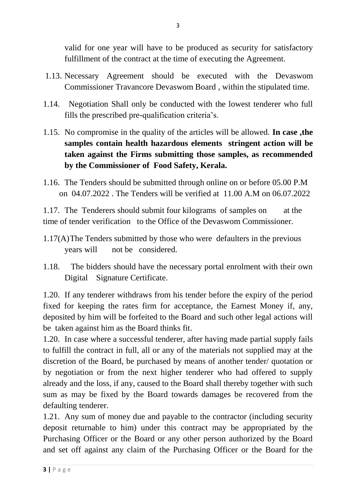valid for one year will have to be produced as security for satisfactory fulfillment of the contract at the time of executing the Agreement.

- 1.13. Necessary Agreement should be executed with the Devaswom Commissioner Travancore Devaswom Board , within the stipulated time.
- 1.14. Negotiation Shall only be conducted with the lowest tenderer who full fills the prescribed pre-qualification criteria's.
- 1.15. No compromise in the quality of the articles will be allowed. **In case ,the samples contain health hazardous elements stringent action will be taken against the Firms submitting those samples, as recommended by the Commissioner of Food Safety, Kerala.**
- 1.16. The Tenders should be submitted through online on or before 05.00 P.M on 04.07.2022 . The Tenders will be verified at 11.00 A.M on 06.07.2022

1.17. The Tenderers should submit four kilograms of samples on at the time of tender verification to the Office of the Devaswom Commissioner.

- 1.17(A)The Tenders submitted by those who were defaulters in the previous years will not be considered.
- 1.18. The bidders should have the necessary portal enrolment with their own Digital Signature Certificate.

1.20. If any tenderer withdraws from his tender before the expiry of the period fixed for keeping the rates firm for acceptance, the Earnest Money if, any, deposited by him will be forfeited to the Board and such other legal actions will be taken against him as the Board thinks fit.

1.20. In case where a successful tenderer, after having made partial supply fails to fulfill the contract in full, all or any of the materials not supplied may at the discretion of the Board, be purchased by means of another tender/ quotation or by negotiation or from the next higher tenderer who had offered to supply already and the loss, if any, caused to the Board shall thereby together with such sum as may be fixed by the Board towards damages be recovered from the defaulting tenderer.

1.21. Any sum of money due and payable to the contractor (including security deposit returnable to him) under this contract may be appropriated by the Purchasing Officer or the Board or any other person authorized by the Board and set off against any claim of the Purchasing Officer or the Board for the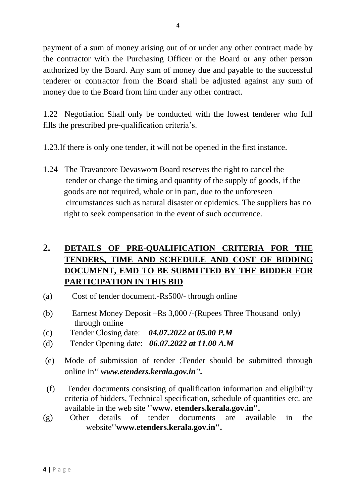payment of a sum of money arising out of or under any other contract made by the contractor with the Purchasing Officer or the Board or any other person authorized by the Board. Any sum of money due and payable to the successful tenderer or contractor from the Board shall be adjusted against any sum of money due to the Board from him under any other contract.

1.22 Negotiation Shall only be conducted with the lowest tenderer who full fills the prescribed pre-qualification criteria's.

- 1.23.If there is only one tender, it will not be opened in the first instance.
- 1.24 The Travancore Devaswom Board reserves the right to cancel the tender or change the timing and quantity of the supply of goods, if the goods are not required, whole or in part, due to the unforeseen circumstances such as natural disaster or epidemics. The suppliers has no right to seek compensation in the event of such occurrence.

# **2. DETAILS OF PRE-QUALIFICATION CRITERIA FOR THE TENDERS, TIME AND SCHEDULE AND COST OF BIDDING DOCUMENT, EMD TO BE SUBMITTED BY THE BIDDER FOR PARTICIPATION IN THIS BID**

- (a) Cost of tender document.-Rs500/- through online
- (b) Earnest Money Deposit –Rs 3,000 /-(Rupees Three Thousand only) through online
- (c) Tender Closing date: *04.07.2022 at 05.00 P.M*
- (d) Tender Opening date: *06.07.2022 at 11.00 A.M*
- (e) Mode of submission of tender :Tender should be submitted through online in*'' www.etenders.kerala.gov.in''.*
- (f) Tender documents consisting of qualification information and eligibility criteria of bidders, Technical specification, schedule of quantities etc. are available in the web site **''www. etenders.kerala.gov.in''.**
- (g) Other details of tender documents are available in the website**''www.etenders.kerala.gov.in''.**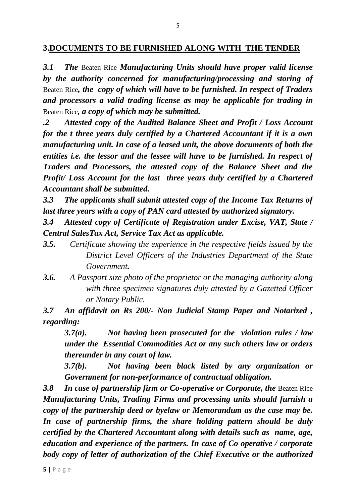### **3.DOCUMENTS TO BE FURNISHED ALONG WITH THE TENDER**

*3.1 The* Beaten Rice *Manufacturing Units should have proper valid license by the authority concerned for manufacturing/processing and storing of*  Beaten Rice*, the copy of which will have to be furnished. In respect of Traders and processors a valid trading license as may be applicable for trading in*  Beaten Rice*, a copy of which may be submitted.*

*.2 Attested copy of the Audited Balance Sheet and Profit / Loss Account for the t three years duly certified by a Chartered Accountant if it is a own manufacturing unit. In case of a leased unit, the above documents of both the entities i.e. the lessor and the lessee will have to be furnished. In respect of Traders and Processors, the attested copy of the Balance Sheet and the Profit/ Loss Account for the last three years duly certified by a Chartered Accountant shall be submitted.*

*3.3 The applicants shall submit attested copy of the Income Tax Returns of last three years with a copy of PAN card attested by authorized signatory.*

*3.4 Attested copy of Certificate of Registration under Excise, VAT, State / Central SalesTax Act, Service Tax Act as applicable.*

- *3.5. Certificate showing the experience in the respective fields issued by the District Level Officers of the Industries Department of the State Government.*
- *3.6. A Passport size photo of the proprietor or the managing authority along with three specimen signatures duly attested by a Gazetted Officer or Notary Public.*

*3.7 An affidavit on Rs 200/- Non Judicial Stamp Paper and Notarized , regarding:*

*3.7(a). Not having been prosecuted for the violation rules / law under the Essential Commodities Act or any such others law or orders thereunder in any court of law.*

*3.7(b). Not having been black listed by any organization or Government for non-performance of contractual obligation.*

**3.8** In case of partnership firm or Co-operative or Corporate, the Beaten Rice *Manufacturing Units, Trading Firms and processing units should furnish a copy of the partnership deed or byelaw or Memorandum as the case may be. In case of partnership firms, the share holding pattern should be duly certified by the Chartered Accountant along with details such as name, age, education and experience of the partners. In case of Co operative / corporate body copy of letter of authorization of the Chief Executive or the authorized*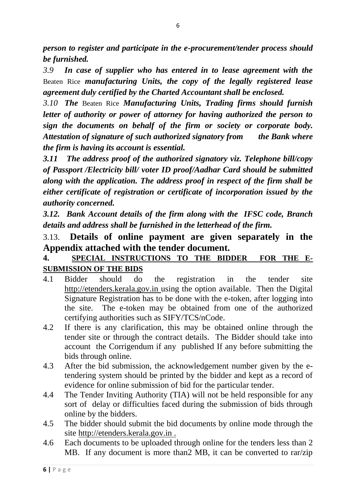*person to register and participate in the e-procurement/tender process should be furnished.*

*3.9 In case of supplier who has entered in to lease agreement with the*  Beaten Rice *manufacturing Units, the copy of the legally registered lease agreement duly certified by the Charted Accountant shall be enclosed.*

*3.10 The* Beaten Rice *Manufacturing Units, Trading firms should furnish letter of authority or power of attorney for having authorized the person to sign the documents on behalf of the firm or society or corporate body. Attestation of signature of such authorized signatory from the Bank where the firm is having its account is essential.*

*3.11 The address proof of the authorized signatory viz. Telephone bill/copy of Passport /Electricity bill/ voter ID proof/Aadhar Card should be submitted along with the application. The address proof in respect of the firm shall be either certificate of registration or certificate of incorporation issued by the authority concerned.*

*3.12. Bank Account details of the firm along with the IFSC code, Branch details and address shall be furnished in the letterhead of the firm.*

# 3.13. **Details of online payment are given separately in the Appendix attached with the tender document.**

## **4. SPECIAL INSTRUCTIONS TO THE BIDDER FOR THE E-SUBMISSION OF THE BIDS**

- 4.1 Bidder should do the registration in the tender site http://etenders.kerala.gov.in using the option available. Then the Digital Signature Registration has to be done with the e-token, after logging into the site. The e-token may be obtained from one of the authorized certifying authorities such as SIFY/TCS/nCode.
- 4.2 If there is any clarification, this may be obtained online through the tender site or through the contract details. The Bidder should take into account the Corrigendum if any published If any before submitting the bids through online.
- 4.3 After the bid submission, the acknowledgement number given by the etendering system should be printed by the bidder and kept as a record of evidence for online submission of bid for the particular tender.
- 4.4 The Tender Inviting Authority (TIA) will not be held responsible for any sort of delay or difficulties faced during the submission of bids through online by the bidders.
- 4.5 The bidder should submit the bid documents by online mode through the site http://etenders.kerala.gov.in .
- 4.6 Each documents to be uploaded through online for the tenders less than 2 MB. If any document is more than2 MB, it can be converted to rar/zip